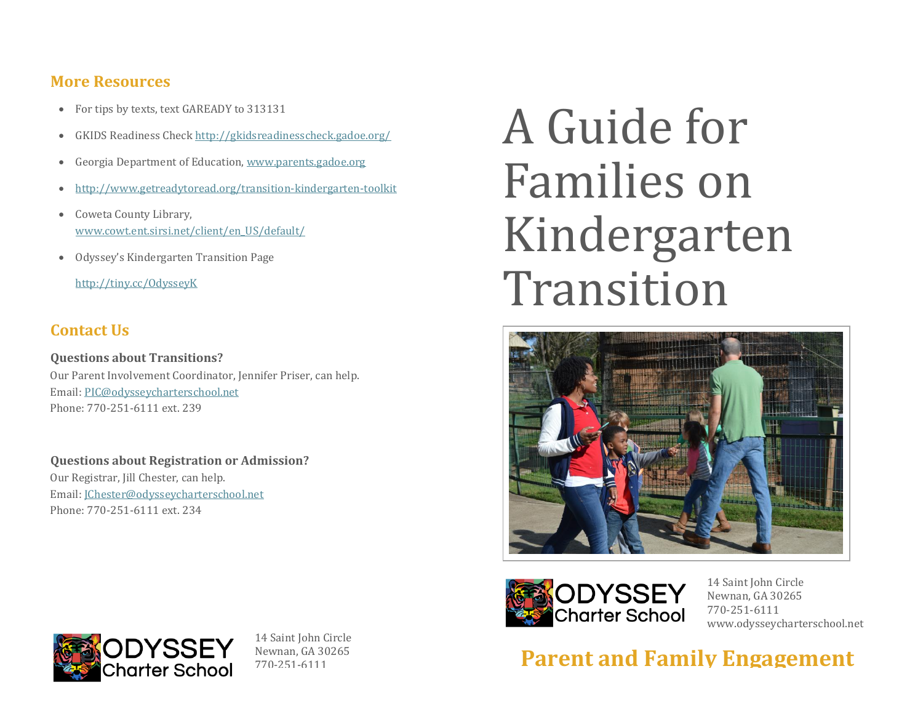#### **More Resources**

- For tips by texts, text GAREADY to 313131
- GKIDS Readiness Chec[k http://gkidsreadinesscheck.gadoe.org/](http://gkidsreadinesscheck.gadoe.org/)
- Georgia Department of Education, [www.parents.gadoe.org](http://www.parents.gadoe.org/)
- <http://www.getreadytoread.org/transition-kindergarten-toolkit>
- Coweta County Library, [www.cowt.ent.sirsi.net/client/en\\_US/default/](http://www.cowt.ent.sirsi.net/client/en_US/default/)
- Odyssey's Kindergarten Transition Page

<http://tiny.cc/OdysseyK>

#### **Contact Us**

**Questions about Transitions?**  Our Parent Involvement Coordinator, Jennifer Priser, can help. Email[: PIC@odysseycharterschool.net](mailto:PIC@odysseycharterschool.net)  Phone: 770-251-6111 ext. 239

**Questions about Registration or Admission?**  Our Registrar, Jill Chester, can help. Email[: JChester@odysseycharterschool.net](mailto:JChester@odysseycharterschool.net)  Phone: 770-251-6111 ext. 234

# A Guide for Families on Kindergarten Transition





14 Saint John Circle Newnan, GA 30265 770-251-6111 www.odysseycharterschool.net

**Parent and Family Engagement**



14 Saint John Circle Newnan, GA 30265 770-251-6111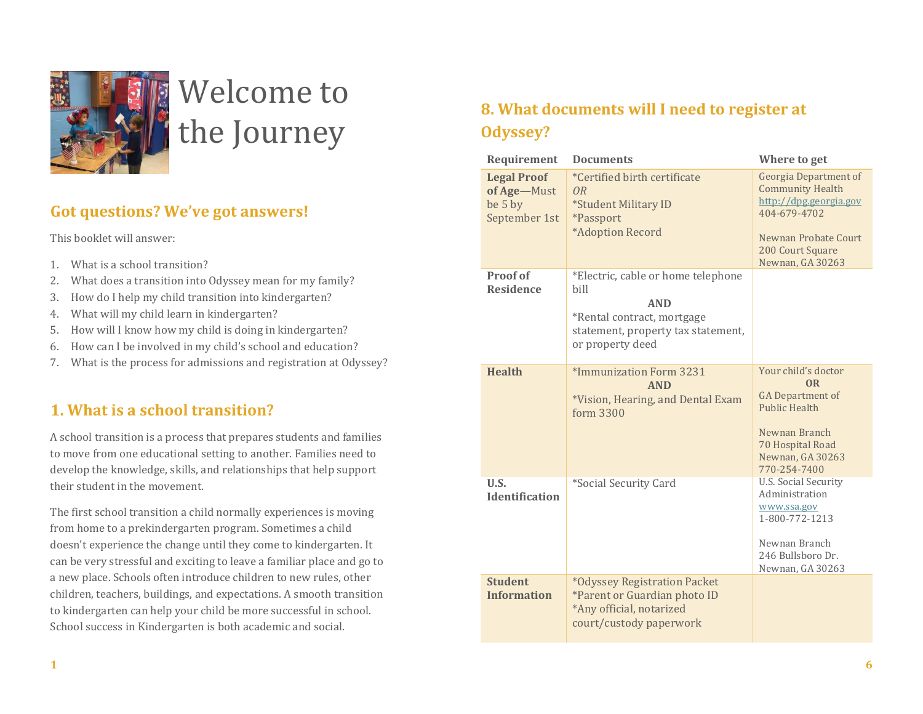

# Welcome to the Journey

#### **Got questions? We've got answers!**

This booklet will answer:

- 1. What is a school transition?
- 2. What does a transition into Odyssey mean for my family?
- 3. How do I help my child transition into kindergarten?
- 4. What will my child learn in kindergarten?
- 5. How will I know how my child is doing in kindergarten?
- 6. How can I be involved in my child's school and education?
- 7. What is the process for admissions and registration at Odyssey?

#### **1. What is a school transition?**

A school transition is a process that prepares students and families to move from one educational setting to another. Families need to develop the knowledge, skills, and relationships that help support their student in the movement.

The first school transition a child normally experiences is moving from home to a prekindergarten program. Sometimes a child doesn't experience the change until they come to kindergarten. It can be very stressful and exciting to leave a familiar place and go to a new place. Schools often introduce children to new rules, other children, teachers, buildings, and expectations. A smooth transition to kindergarten can help your child be more successful in school. School success in Kindergarten is both academic and social.

# **8. What documents will I need to register at Odyssey?**

| Requirement                                                   | <b>Documents</b>                                                                                                                                 | Where to get                                                                                                                                                      |
|---------------------------------------------------------------|--------------------------------------------------------------------------------------------------------------------------------------------------|-------------------------------------------------------------------------------------------------------------------------------------------------------------------|
| <b>Legal Proof</b><br>of Age-Must<br>be 5 by<br>September 1st | *Certified birth certificate<br>OR<br>*Student Military ID<br><i><b>*Passport</b></i><br>*Adoption Record                                        | <b>Georgia Department of</b><br><b>Community Health</b><br>http://dpg.georgia.gov<br>404-679-4702<br>Newnan Probate Court<br>200 Court Square<br>Newnan, GA 30263 |
| Proof of<br><b>Residence</b>                                  | *Electric, cable or home telephone<br>bill<br><b>AND</b><br>*Rental contract, mortgage<br>statement, property tax statement,<br>or property deed |                                                                                                                                                                   |
| <b>Health</b>                                                 | *Immunization Form 3231<br><b>AND</b><br>*Vision, Hearing, and Dental Exam<br>form 3300                                                          | Your child's doctor<br><b>OR</b><br><b>GA</b> Department of<br><b>Public Health</b><br>Newnan Branch<br>70 Hospital Road<br>Newnan, GA 30263<br>770-254-7400      |
| U.S.<br><b>Identification</b>                                 | *Social Security Card                                                                                                                            | <b>U.S. Social Security</b><br>Administration<br>www.ssa.gov<br>1-800-772-1213<br>Newnan Branch<br>246 Bullsboro Dr.<br>Newnan, GA 30263                          |
| <b>Student</b><br><b>Information</b>                          | *Odyssey Registration Packet<br>*Parent or Guardian photo ID<br>*Any official, notarized<br>court/custody paperwork                              |                                                                                                                                                                   |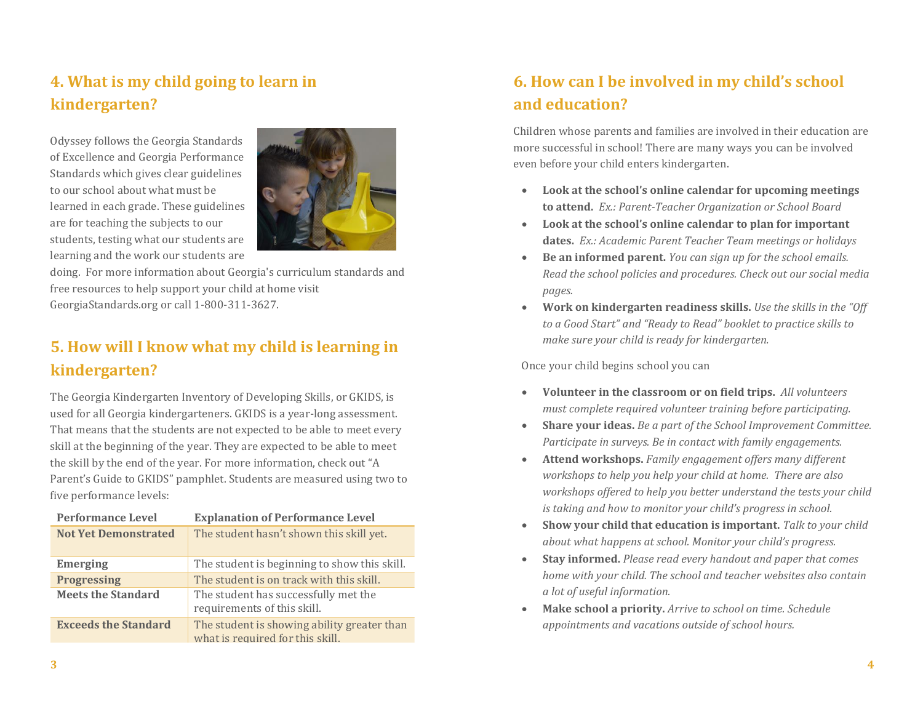# **4. What is my child going to learn in kindergarten?**

Odyssey follows the Georgia Standards of Excellence and Georgia Performance Standards which gives clear guidelines to our school about what must be learned in each grade. These guidelines are for teaching the subjects to our students, testing what our students are learning and the work our students are



doing. For more information about Georgia's curriculum standards and free resources to help support your child at home visit GeorgiaStandards.org or call 1-800-311-3627.

# **5. How will I know what my child is learning in kindergarten?**

The Georgia Kindergarten Inventory of Developing Skills, or GKIDS, is used for all Georgia kindergarteners. GKIDS is a year-long assessment. That means that the students are not expected to be able to meet every skill at the beginning of the year. They are expected to be able to meet the skill by the end of the year. For more information, check out "A Parent's Guide to GKIDS" pamphlet. Students are measured using two to five performance levels:

| <b>Performance Level</b>    | <b>Explanation of Performance Level</b>                                         |  |
|-----------------------------|---------------------------------------------------------------------------------|--|
| <b>Not Yet Demonstrated</b> | The student hasn't shown this skill yet.                                        |  |
| <b>Emerging</b>             | The student is beginning to show this skill.                                    |  |
| <b>Progressing</b>          | The student is on track with this skill.                                        |  |
| <b>Meets the Standard</b>   | The student has successfully met the<br>requirements of this skill.             |  |
| <b>Exceeds the Standard</b> | The student is showing ability greater than<br>what is required for this skill. |  |

# **6. How can I be involved in my child's school and education?**

Children whose parents and families are involved in their education are more successful in school! There are many ways you can be involved even before your child enters kindergarten.

- **Look at the school's online calendar for upcoming meetings to attend.** *Ex.: Parent-Teacher Organization or School Board*
- **Look at the school's online calendar to plan for important dates.** *Ex.: Academic Parent Teacher Team meetings or holidays*
- **Be an informed parent.** *You can sign up for the school emails. Read the school policies and procedures. Check out our social media pages.*
- **Work on kindergarten readiness skills.** *Use the skills in the "Off to a Good Start" and "Ready to Read" booklet to practice skills to make sure your child is ready for kindergarten.*

Once your child begins school you can

- **Volunteer in the classroom or on field trips.** *All volunteers must complete required volunteer training before participating.*
- **Share your ideas.** *Be a part of the School Improvement Committee. Participate in surveys. Be in contact with family engagements.*
- **Attend workshops.** *Family engagement offers many different workshops to help you help your child at home. There are also workshops offered to help you better understand the tests your child is taking and how to monitor your child's progress in school.*
- **Show your child that education is important.** *Talk to your child about what happens at school. Monitor your child's progress.*
- **Stay informed.** *Please read every handout and paper that comes home with your child. The school and teacher websites also contain a lot of useful information.*
- **Make school a priority.** *Arrive to school on time. Schedule appointments and vacations outside of school hours.*